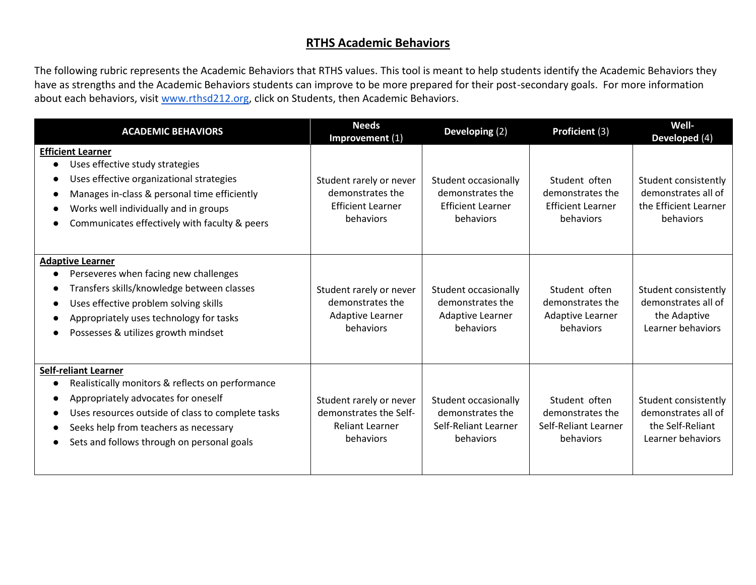## **RTHS Academic Behaviors**

The following rubric represents the Academic Behaviors that RTHS values. This tool is meant to help students identify the Academic Behaviors they have as strengths and the Academic Behaviors students can improve to be more prepared for their post-secondary goals. For more information about each behaviors, visit [www.rthsd212.org,](http://www.rths.d212.org/) click on Students, then Academic Behaviors.

| <b>ACADEMIC BEHAVIORS</b>                                                                                                                                                                                                                                                       | <b>Needs</b><br>Improvement (1)                                                          | Developing (2)                                                                    | Proficient (3)                                                             | Well-<br>Developed (4)                                                               |
|---------------------------------------------------------------------------------------------------------------------------------------------------------------------------------------------------------------------------------------------------------------------------------|------------------------------------------------------------------------------------------|-----------------------------------------------------------------------------------|----------------------------------------------------------------------------|--------------------------------------------------------------------------------------|
| <b>Efficient Learner</b><br>Uses effective study strategies<br>$\bullet$<br>Uses effective organizational strategies<br>Manages in-class & personal time efficiently<br>Works well individually and in groups<br>Communicates effectively with faculty & peers                  | Student rarely or never<br>demonstrates the<br><b>Efficient Learner</b><br>behaviors     | Student occasionally<br>demonstrates the<br><b>Efficient Learner</b><br>behaviors | Student often<br>demonstrates the<br><b>Efficient Learner</b><br>behaviors | Student consistently<br>demonstrates all of<br>the Efficient Learner<br>behaviors    |
| <b>Adaptive Learner</b><br>Perseveres when facing new challenges<br>Transfers skills/knowledge between classes<br>Uses effective problem solving skills<br>Appropriately uses technology for tasks<br>Possesses & utilizes growth mindset                                       | Student rarely or never<br>demonstrates the<br>Adaptive Learner<br>behaviors             | Student occasionally<br>demonstrates the<br>Adaptive Learner<br>behaviors         | Student often<br>demonstrates the<br>Adaptive Learner<br>behaviors         | Student consistently<br>demonstrates all of<br>the Adaptive<br>Learner behaviors     |
| <b>Self-reliant Learner</b><br>Realistically monitors & reflects on performance<br>Appropriately advocates for oneself<br>Uses resources outside of class to complete tasks<br>Seeks help from teachers as necessary<br>$\bullet$<br>Sets and follows through on personal goals | Student rarely or never<br>demonstrates the Self-<br><b>Reliant Learner</b><br>behaviors | Student occasionally<br>demonstrates the<br>Self-Reliant Learner<br>behaviors     | Student often<br>demonstrates the<br>Self-Reliant Learner<br>behaviors     | Student consistently<br>demonstrates all of<br>the Self-Reliant<br>Learner behaviors |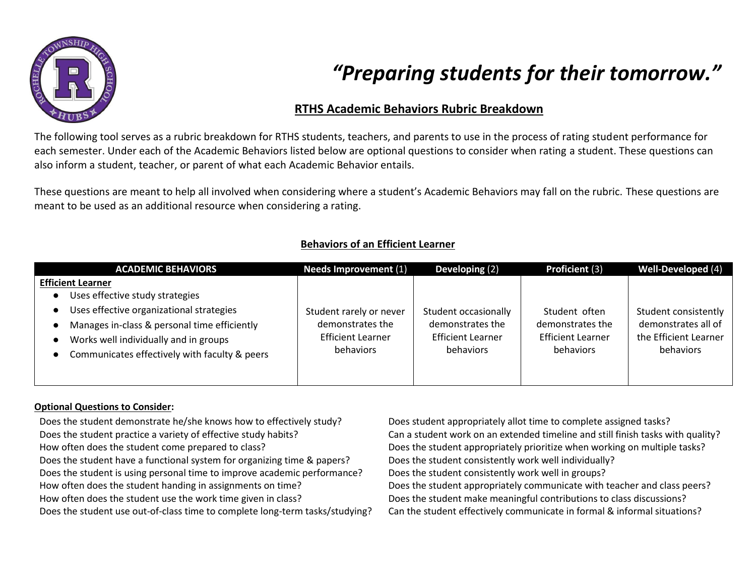

# *"Preparing students for their tomorrow."*

## **RTHS Academic Behaviors Rubric Breakdown**

The following tool serves as a rubric breakdown for RTHS students, teachers, and parents to use in the process of rating student performance for each semester. Under each of the Academic Behaviors listed below are optional questions to consider when rating a student. These questions can also inform a student, teacher, or parent of what each Academic Behavior entails.

These questions are meant to help all involved when considering where a student's Academic Behaviors may fall on the rubric. These questions are meant to be used as an additional resource when considering a rating.

| <b>ACADEMIC BEHAVIORS</b>                     | <b>Needs Improvement (1)</b> | Developing (2)           | <b>Proficient (3)</b>    | Well-Developed (4)    |
|-----------------------------------------------|------------------------------|--------------------------|--------------------------|-----------------------|
| <b>Efficient Learner</b>                      |                              |                          |                          |                       |
| Uses effective study strategies               |                              |                          |                          |                       |
| Uses effective organizational strategies      | Student rarely or never      | Student occasionally     | Student often            | Student consistently  |
| Manages in-class & personal time efficiently  | demonstrates the             | demonstrates the         | demonstrates the         | demonstrates all of   |
| Works well individually and in groups         | <b>Efficient Learner</b>     | <b>Efficient Learner</b> | <b>Efficient Learner</b> | the Efficient Learner |
| Communicates effectively with faculty & peers | behaviors                    | behaviors                | behaviors                | behaviors             |
|                                               |                              |                          |                          |                       |
|                                               |                              |                          |                          |                       |

## **Behaviors of an Efficient Learner**

#### **Optional Questions to Consider:**

Does the student demonstrate he/she knows how to effectively study? Does student appropriately allot time to complete assigned tasks? Does the student practice a variety of effective study habits? Can a student work on an extended timeline and still finish tasks with quality? How often does the student come prepared to class? Does the student appropriately prioritize when working on multiple tasks? Does the student have a functional system for organizing time & papers? Does the student consistently work well individually? Does the student is using personal time to improve academic performance? Does the student consistently work well in groups? How often does the student handing in assignments on time? Does the student appropriately communicate with teacher and class peers? How often does the student use the work time given in class? Does the student make meaningful contributions to class discussions? Does the student use out-of-class time to complete long-term tasks/studying? Can the student effectively communicate in formal & informal situations?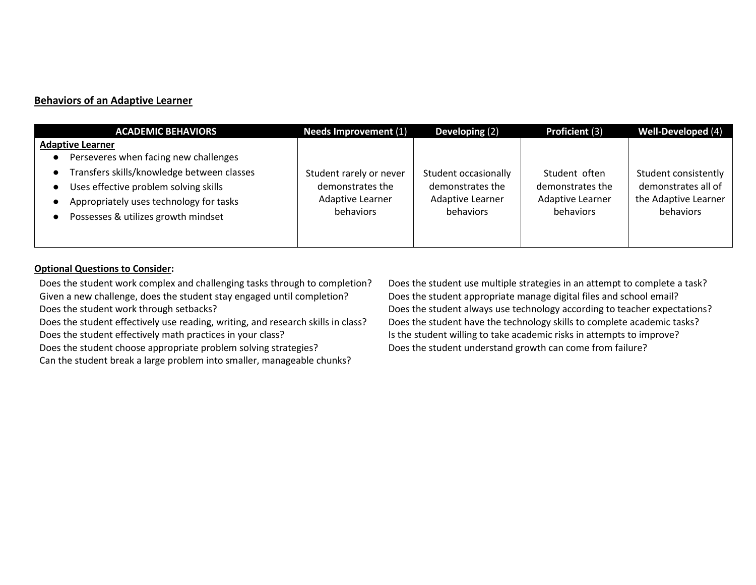#### **Behaviors of an Adaptive Learner**

| <b>ACADEMIC BEHAVIORS</b>                                                                                                                                                                                      | <b>Needs Improvement (1)</b>                                                 | Developing (2)                                                            | Proficient (3)                                                            | Well-Developed (4)                                                               |
|----------------------------------------------------------------------------------------------------------------------------------------------------------------------------------------------------------------|------------------------------------------------------------------------------|---------------------------------------------------------------------------|---------------------------------------------------------------------------|----------------------------------------------------------------------------------|
| <b>Adaptive Learner</b>                                                                                                                                                                                        |                                                                              |                                                                           |                                                                           |                                                                                  |
| Perseveres when facing new challenges<br>Transfers skills/knowledge between classes<br>Uses effective problem solving skills<br>Appropriately uses technology for tasks<br>Possesses & utilizes growth mindset | Student rarely or never<br>demonstrates the<br>Adaptive Learner<br>behaviors | Student occasionally<br>demonstrates the<br>Adaptive Learner<br>behaviors | Student often<br>demonstrates the<br><b>Adaptive Learner</b><br>behaviors | Student consistently<br>demonstrates all of<br>the Adaptive Learner<br>behaviors |
|                                                                                                                                                                                                                |                                                                              |                                                                           |                                                                           |                                                                                  |

#### **Optional Questions to Consider:**

Does the student work complex and challenging tasks through to completion? Does the student use multiple strategies in an attempt to complete a task? Given a new challenge, does the student stay engaged until completion? Does the student appropriate manage digital files and school email? Does the student work through setbacks? Does the student always use technology according to teacher expectations?

Does the student effectively use reading, writing, and research skills in class? Does the student have the technology skills to complete academic tasks? Does the student effectively math practices in your class? In the student willing to take academic risks in attempts to improve?

Does the student choose appropriate problem solving strategies? Does the student understand growth can come from failure?

Can the student break a large problem into smaller, manageable chunks?